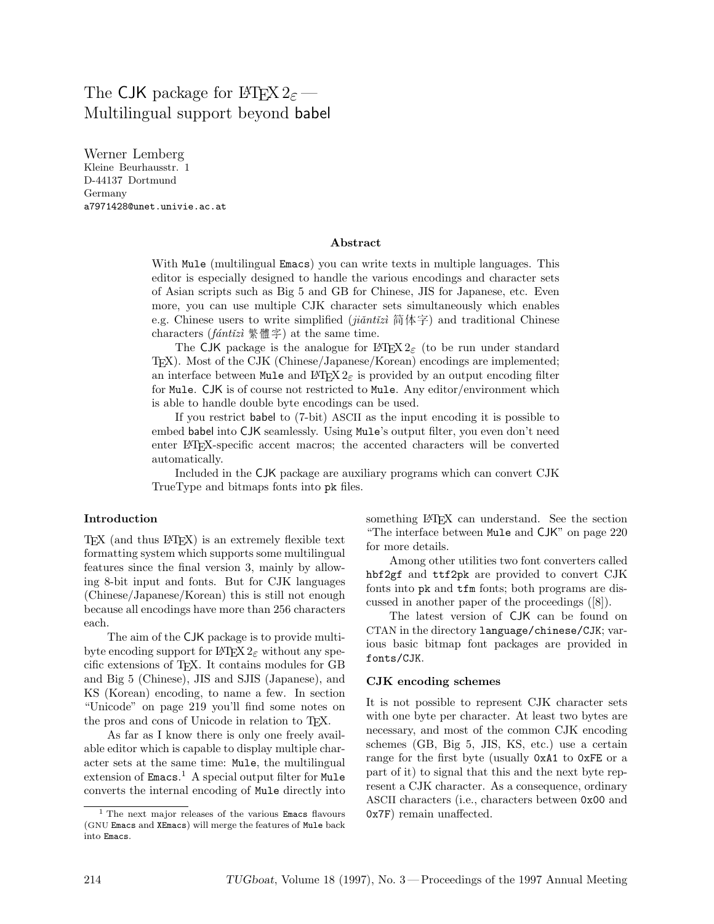# The CJK package for LATEX 2*ε* — Multilingual support beyond babel

Werner Lemberg Kleine Beurhausstr. 1 D-44137 Dortmund Germany a7971428@unet.univie.ac.at

#### **Abstract**

With Mule (multilingual Emacs) you can write texts in multiple languages. This editor is especially designed to handle the various encodings and character sets of Asian scripts such as Big 5 and GB for Chinese, JIS for Japanese, etc. Even more, you can use multiple CJK character sets simultaneously which enables e.g. Chinese users to write simplified ( $ji\tilde{a}nt\tilde{i}z\tilde{i} \text{ if } (k\tilde{i}z)$  and traditional Chinese characters (*fántǐzì* 繁體字) at the same time.

The CJK package is the analogue for  $\mathbb{F}(\mathbb{F}(\mathbb{F}(\mathbb{Z}))$  (to be run under standard TEX). Most of the CJK (Chinese/Japanese/Korean) encodings are implemented; an interface between Mule and L<sup>AT</sup>EX  $2\varepsilon$  is provided by an output encoding filter for Mule. CJK is of course not restricted to Mule. Any editor/environment which is able to handle double byte encodings can be used.

If you restrict babel to (7-bit) ASCII as the input encoding it is possible to embed babel into CJK seamlessly. Using Mule's output filter, you even don't need enter LATEX-specific accent macros; the accented characters will be converted automatically.

Included in the CJK package are auxiliary programs which can convert CJK TrueType and bitmaps fonts into pk files.

#### **Introduction**

TEX (and thus LATEX) is an extremely flexible text formatting system which supports some multilingual features since the final version 3, mainly by allowing 8-bit input and fonts. But for CJK languages (Chinese/Japanese/Korean) this is still not enough because all encodings have more than 256 characters each.

The aim of the CJK package is to provide multibyte encoding support for LAT<sub>EX</sub>  $2\varepsilon$  without any specific extensions of TEX. It contains modules for GB and Big 5 (Chinese), JIS and SJIS (Japanese), and KS (Korean) encoding, to name a few. In section "Unicode" on page 219 you'll find some notes on the pros and cons of Unicode in relation to TEX.

As far as I know there is only one freely available editor which is capable to display multiple character sets at the same time: Mule, the multilingual extension of Emacs. <sup>1</sup> A special output filter for Mule converts the internal encoding of Mule directly into something LAT<sub>EX</sub> can understand. See the section "The interface between Mule and CJK" on page 220 for more details.

Among other utilities two font converters called hbf2gf and ttf2pk are provided to convert CJK fonts into pk and tfm fonts; both programs are discussed in another paper of the proceedings ([8]).

The latest version of CJK can be found on CTAN in the directory language/chinese/CJK; various basic bitmap font packages are provided in fonts/CJK.

#### **CJK encoding schemes**

It is not possible to represent CJK character sets with one byte per character. At least two bytes are necessary, and most of the common CJK encoding schemes (GB, Big 5, JIS, KS, etc.) use a certain range for the first byte (usually 0xA1 to 0xFE or a part of it) to signal that this and the next byte represent a CJK character. As a consequence, ordinary ASCII characters (i.e., characters between 0x00 and 0x7F) remain unaffected.

<sup>&</sup>lt;sup>1</sup> The next major releases of the various **Emacs** flavours (GNU Emacs and XEmacs) will merge the features of Mule back into Emacs.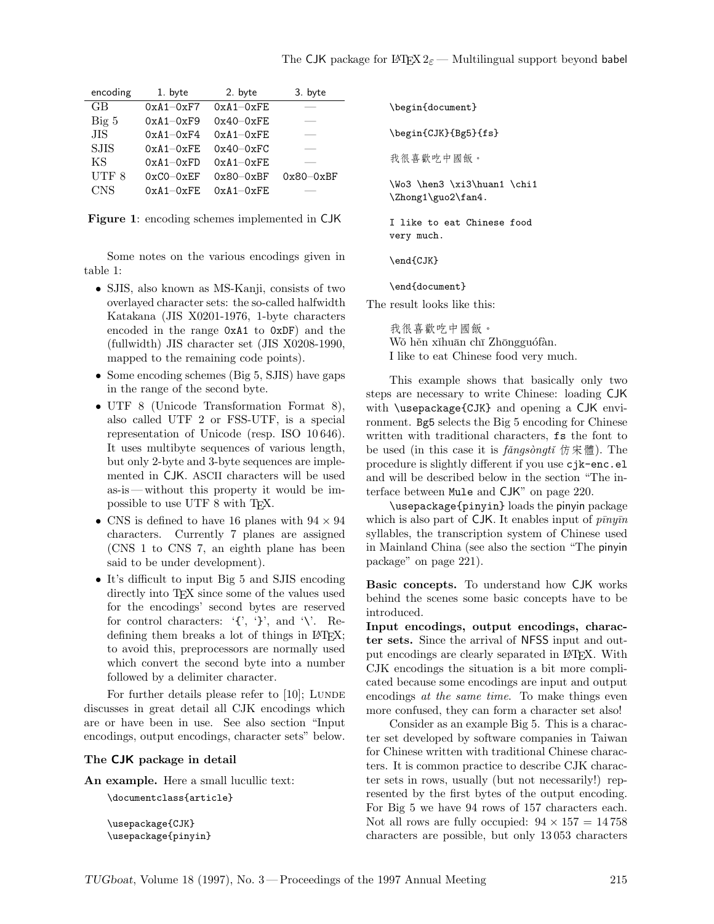| encoding         | 1. byte       | 2. byte       | 3. byte     |
|------------------|---------------|---------------|-------------|
| GB               | $0xA1-0xF7$   | $0xA1-0xFE$   |             |
| $Big\ 5$         | $0xA1 - 0xF9$ | $0x40 - 0xFE$ |             |
| .HS              | $0xA1 - 0xF4$ | $0xA1-0xFE$   |             |
| <b>SJIS</b>      | $0xA1-0xFE$   | $0x40-0xFC$   |             |
| ΚS               | $0xA1 - 0xFD$ | $0xA1 - 0xFE$ |             |
| UTF <sub>8</sub> | $0xC0-0xFF$   | $0x80 - 0xBF$ | $0x80-0xBF$ |
| <b>CNS</b>       | $0xA1 - 0xFE$ | $0xA1 - 0xFE$ |             |

**Figure 1**: encoding schemes implemented in CJK

Some notes on the various encodings given in table 1:

- *•* SJIS, also known as MS-Kanji, consists of two overlayed character sets: the so-called halfwidth Katakana (JIS X0201-1976, 1-byte characters encoded in the range 0xA1 to 0xDF) and the (fullwidth) JIS character set (JIS X0208-1990, mapped to the remaining code points).
- Some encoding schemes (Big 5, SJIS) have gaps in the range of the second byte.
- *•* UTF 8 (Unicode Transformation Format 8), also called UTF 2 or FSS-UTF, is a special representation of Unicode (resp. ISO 10 646). It uses multibyte sequences of various length, but only 2-byte and 3-byte sequences are implemented in CJK. ASCII characters will be used as-is— without this property it would be impossible to use UTF 8 with TEX.
- *•* CNS is defined to have 16 planes with 94 *×* 94 characters. Currently 7 planes are assigned (CNS 1 to CNS 7, an eighth plane has been said to be under development).
- It's difficult to input Big 5 and SJIS encoding directly into T<sub>F</sub>X since some of the values used for the encodings' second bytes are reserved for control characters:  $\langle \cdot, \cdot \rangle$ , and  $\langle \cdot \rangle$ . Redefining them breaks a lot of things in IATEX; to avoid this, preprocessors are normally used which convert the second byte into a number followed by a delimiter character.

For further details please refer to  $[10]$ ; LUNDE discusses in great detail all CJK encodings which are or have been in use. See also section "Input encodings, output encodings, character sets" below.

## **The CJK package in detail**

**An example.** Here a small lucullic text:

\documentclass{article}

\usepackage{CJK} \usepackage{pinyin}

\begin{document} \begin{CJK}{Bg5}{fs} 我很喜歡吃中國飯。 \Wo3 \hen3 \xi3\huan1 \chi1 \Zhong1\guo2\fan4. I like to eat Chinese food

\end{CJK}

very much.

\end{document}

The result looks like this:

我很喜歡吃中國飯。 Wǒ hěn xǐhuān chī Zhōngguófàn. I like to eat Chinese food very much.

This example shows that basically only two steps are necessary to write Chinese: loading CJK with \usepackage{CJK} and opening a CJK environment. Bg5 selects the Big 5 encoding for Chinese written with traditional characters, fs the font to be used (in this case it is *fǎngsòngtǐ* 仿宋體). The procedure is slightly different if you use cjk-enc.el and will be described below in the section "The interface between Mule and CJK" on page 220.

\usepackage{pinyin} loads the pinyin package which is also part of CJK. It enables input of  $\bar{p} \bar{n} y \bar{n}$ syllables, the transcription system of Chinese used in Mainland China (see also the section "The pinyin package" on page 221).

**Basic concepts.** To understand how CJK works behind the scenes some basic concepts have to be introduced.

**Input encodings, output encodings, character sets.** Since the arrival of NFSS input and output encodings are clearly separated in LATEX. With CJK encodings the situation is a bit more complicated because some encodings are input and output encodings *at the same time*. To make things even more confused, they can form a character set also!

Consider as an example Big 5. This is a character set developed by software companies in Taiwan for Chinese written with traditional Chinese characters. It is common practice to describe CJK character sets in rows, usually (but not necessarily!) represented by the first bytes of the output encoding. For Big 5 we have 94 rows of 157 characters each. Not all rows are fully occupied:  $94 \times 157 = 14758$ characters are possible, but only 13 053 characters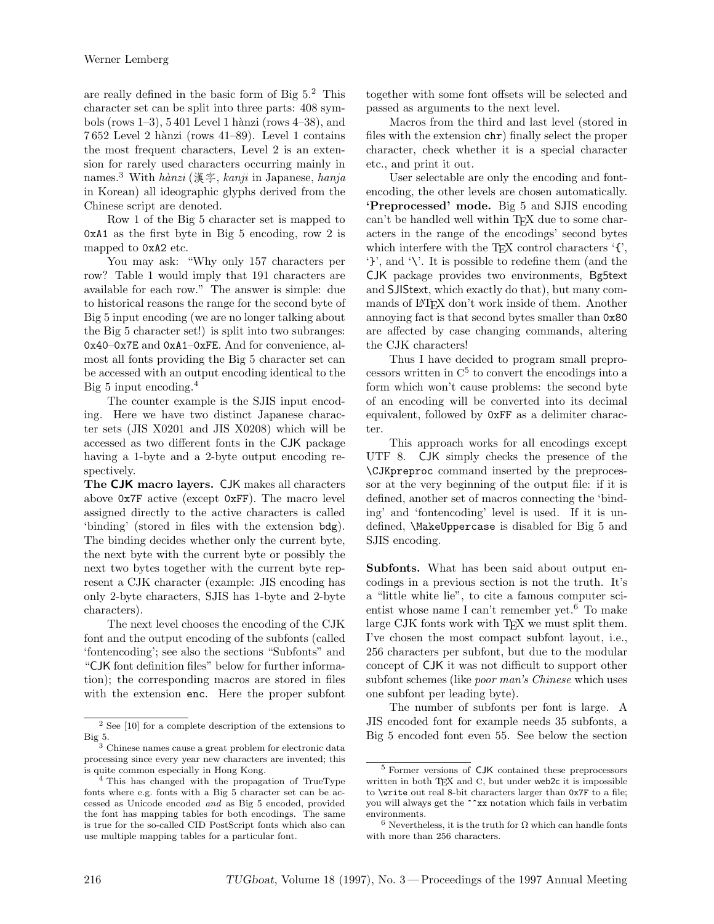are really defined in the basic form of Big  $5<sup>2</sup>$ . This character set can be split into three parts: 408 symbols (rows  $1-3$ ),  $5401$  Level 1 hànzi (rows  $4-38$ ), and  $7652$  Level 2 hànzi (rows  $41-89$ ). Level 1 contains the most frequent characters, Level 2 is an extension for rarely used characters occurring mainly in names.<sup>3</sup> With *h`anzi* (漢字, *kanji* in Japanese, *hanja* in Korean) all ideographic glyphs derived from the Chinese script are denoted.

Row 1 of the Big 5 character set is mapped to 0xA1 as the first byte in Big 5 encoding, row 2 is mapped to 0xA2 etc.

You may ask: "Why only 157 characters per row? Table 1 would imply that 191 characters are available for each row." The answer is simple: due to historical reasons the range for the second byte of Big 5 input encoding (we are no longer talking about the Big 5 character set!) is split into two subranges: 0x40–0x7E and 0xA1–0xFE. And for convenience, almost all fonts providing the Big 5 character set can be accessed with an output encoding identical to the Big 5 input encoding.<sup>4</sup>

The counter example is the SJIS input encoding. Here we have two distinct Japanese character sets (JIS X0201 and JIS X0208) which will be accessed as two different fonts in the CJK package having a 1-byte and a 2-byte output encoding respectively.

**The CJK macro layers.** CJK makes all characters above 0x7F active (except 0xFF). The macro level assigned directly to the active characters is called 'binding' (stored in files with the extension bdg). The binding decides whether only the current byte, the next byte with the current byte or possibly the next two bytes together with the current byte represent a CJK character (example: JIS encoding has only 2-byte characters, SJIS has 1-byte and 2-byte characters).

The next level chooses the encoding of the CJK font and the output encoding of the subfonts (called 'fontencoding'; see also the sections "Subfonts" and "CJK font definition files" below for further information); the corresponding macros are stored in files with the extension enc. Here the proper subfont together with some font offsets will be selected and passed as arguments to the next level.

Macros from the third and last level (stored in files with the extension chr) finally select the proper character, check whether it is a special character etc., and print it out.

User selectable are only the encoding and fontencoding, the other levels are chosen automatically. **'Preprocessed' mode.** Big 5 and SJIS encoding can't be handled well within TFX due to some characters in the range of the encodings' second bytes which interfere with the T<sub>EX</sub> control characters  $\mathcal{F}'$ , '}', and '\'. It is possible to redefine them (and the CJK package provides two environments, Bg5text and SJIStext, which exactly do that), but many commands of LAT<sub>EX</sub> don't work inside of them. Another annoying fact is that second bytes smaller than 0x80 are affected by case changing commands, altering the CJK characters!

Thus I have decided to program small preprocessors written in C 5 to convert the encodings into a form which won't cause problems: the second byte of an encoding will be converted into its decimal equivalent, followed by 0xFF as a delimiter character.

This approach works for all encodings except UTF 8. CJK simply checks the presence of the \CJKpreproc command inserted by the preprocessor at the very beginning of the output file: if it is defined, another set of macros connecting the 'binding' and 'fontencoding' level is used. If it is undefined, \MakeUppercase is disabled for Big 5 and SJIS encoding.

**Subfonts.** What has been said about output encodings in a previous section is not the truth. It's a "little white lie", to cite a famous computer scientist whose name I can't remember yet.<sup>6</sup> To make large CJK fonts work with T<sub>EX</sub> we must split them. I've chosen the most compact subfont layout, i.e., 256 characters per subfont, but due to the modular concept of CJK it was not difficult to support other subfont schemes (like *poor man's Chinese* which uses one subfont per leading byte).

The number of subfonts per font is large. A JIS encoded font for example needs 35 subfonts, a Big 5 encoded font even 55. See below the section

<sup>2</sup> See [10] for a complete description of the extensions to Big 5.

<sup>&</sup>lt;sup>3</sup> Chinese names cause a great problem for electronic data processing since every year new characters are invented; this is quite common especially in Hong Kong.

<sup>&</sup>lt;sup>4</sup> This has changed with the propagation of TrueType fonts where e.g. fonts with a Big 5 character set can be accessed as Unicode encoded *and* as Big 5 encoded, provided the font has mapping tables for both encodings. The same is true for the so-called CID PostScript fonts which also can use multiple mapping tables for a particular font.

<sup>5</sup> Former versions of CJK contained these preprocessors written in both TEX and C, but under web2c it is impossible to \write out real 8-bit characters larger than 0x7F to a file; you will always get the ^^xx notation which fails in verbatim environments.

<sup>&</sup>lt;sup>6</sup> Nevertheless, it is the truth for  $\Omega$  which can handle fonts with more than 256 characters.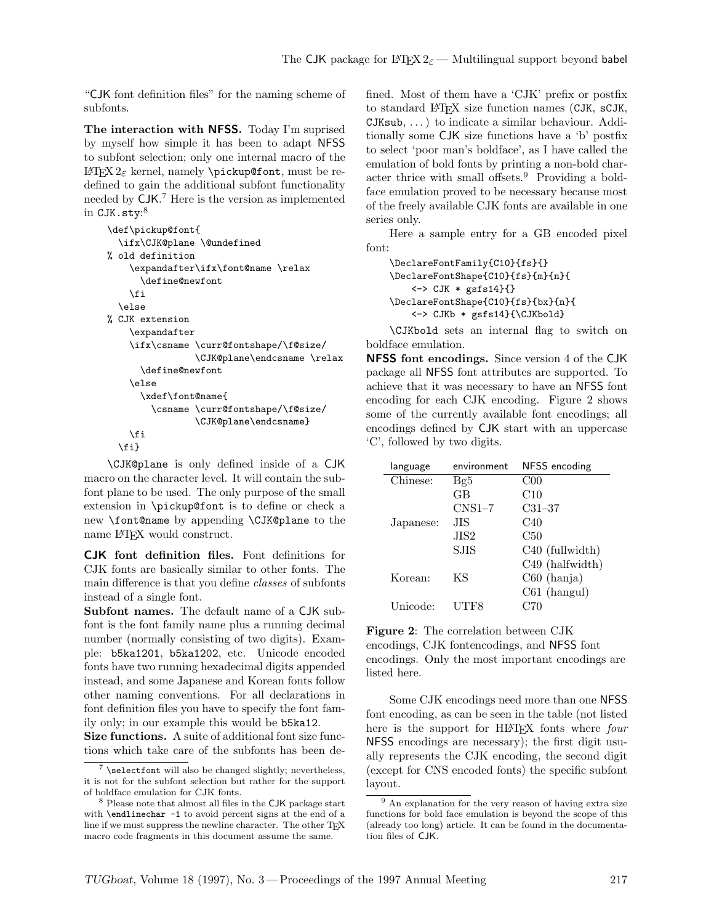"CJK font definition files" for the naming scheme of subfonts.

**The interaction with NFSS.** Today I'm suprised by myself how simple it has been to adapt NFSS to subfont selection; only one internal macro of the LATEX 2*ε* kernel, namely \pickup@font, must be redefined to gain the additional subfont functionality needed by CJK. <sup>7</sup> Here is the version as implemented  $\,$  in CJK.sty: $^8$ 

```
\def\pickup@font{
  \ifx\CJK@plane \@undefined
% old definition
    \expandafter\ifx\font@name \relax
      \define@newfont
    \fi
  \else
% CJK extension
    \expandafter
    \ifx\csname \curr@fontshape/\f@size/
                \CJK@plane\endcsname \relax
      \define@newfont
    \else
      \xdef\font@name{
        \csname \curr@fontshape/\f@size/
                \CJK@plane\endcsname}
    \fi
 \fi}
```
\CJK@plane is only defined inside of a CJK macro on the character level. It will contain the subfont plane to be used. The only purpose of the small extension in \pickup@font is to define or check a new \font@name by appending \CJK@plane to the name LAT<sub>EX</sub> would construct.

**CJK font definition files.** Font definitions for CJK fonts are basically similar to other fonts. The main difference is that you define *classes* of subfonts instead of a single font.

**Subfont names.** The default name of a CJK subfont is the font family name plus a running decimal number (normally consisting of two digits). Example: b5ka1201, b5ka1202, etc. Unicode encoded fonts have two running hexadecimal digits appended instead, and some Japanese and Korean fonts follow other naming conventions. For all declarations in font definition files you have to specify the font family only; in our example this would be b5ka12.

**Size functions.** A suite of additional font size functions which take care of the subfonts has been defined. Most of them have a 'CJK' prefix or postfix to standard LATEX size function names (CJK, sCJK, CJKsub, . . . ) to indicate a similar behaviour. Additionally some CJK size functions have a 'b' postfix to select 'poor man's boldface', as I have called the emulation of bold fonts by printing a non-bold character thrice with small offsets.<sup>9</sup> Providing a boldface emulation proved to be necessary because most of the freely available CJK fonts are available in one series only.

Here a sample entry for a GB encoded pixel font:

```
\DeclareFontFamily{C10}{fs}{}
\DeclareFontShape{C10}{fs}{m}{n}{
   <-> CJK * gsfs14}{}
\DeclareFontShape{C10}{fs}{bx}{n}{
   <-> CJKb * gsfs14}{\CJKbold}
```
\CJKbold sets an internal flag to switch on boldface emulation.

**NFSS font encodings.** Since version 4 of the CJK package all NFSS font attributes are supported. To achieve that it was necessary to have an NFSS font encoding for each CJK encoding. Figure 2 shows some of the currently available font encodings; all encodings defined by CJK start with an uppercase 'C', followed by two digits.

| language  | environment      | NFSS encoding               |
|-----------|------------------|-----------------------------|
| Chinese:  | Bg5              | CO <sub>0</sub>             |
|           | GB               | C10                         |
|           | $CNS1-7$         | $C31 - 37$                  |
| Japanese: | .HS              | C40                         |
|           | JIS <sub>2</sub> | C50                         |
|           | <b>SJIS</b>      | C <sub>40</sub> (fullwidth) |
|           |                  | C49 (halfwidth)             |
| Korean:   | ΚS               | $C60$ (hanja)               |
|           |                  | $C61$ (hangul)              |
| Unicode:  | UTF8             | C70                         |
|           |                  |                             |

```
Figure 2: The correlation between CJK
encodings, CJK fontencodings, and NFSS font
encodings. Only the most important encodings are
listed here.
```
Some CJK encodings need more than one NFSS font encoding, as can be seen in the table (not listed here is the support for HIAT<sub>EX</sub> fonts where *four* NFSS encodings are necessary); the first digit usually represents the CJK encoding, the second digit (except for CNS encoded fonts) the specific subfont layout.

 $7$  \selectfont will also be changed slightly; nevertheless, it is not for the subfont selection but rather for the support of boldface emulation for CJK fonts.

<sup>8</sup> Please note that almost all files in the CJK package start with \endlinechar -1 to avoid percent signs at the end of a line if we must suppress the newline character. The other TFX macro code fragments in this document assume the same.

 $^9$  An explanation for the very reason of having extra size functions for bold face emulation is beyond the scope of this (already too long) article. It can be found in the documentation files of CJK.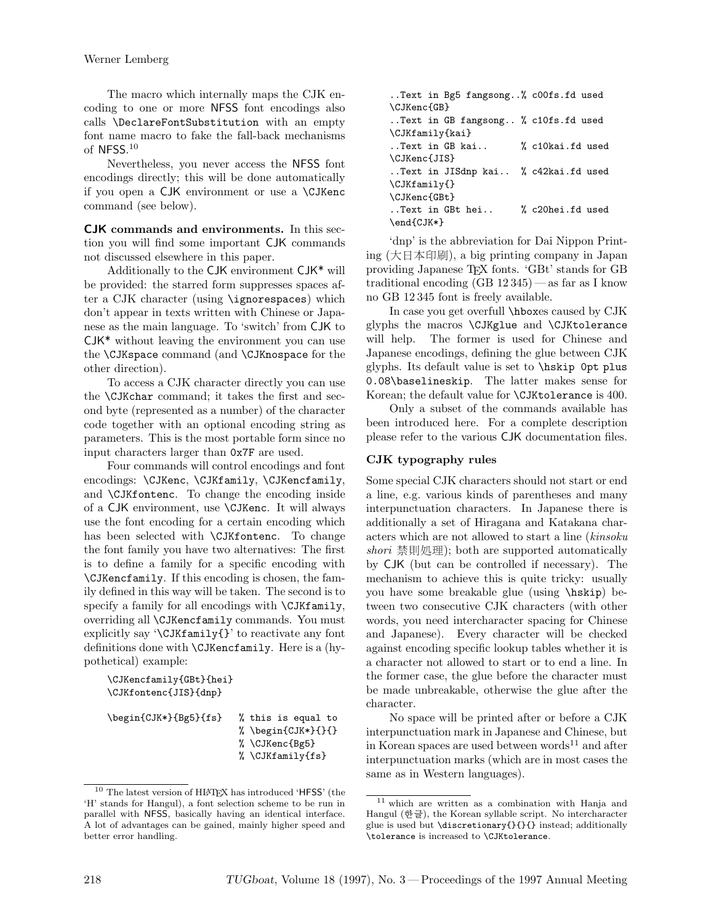The macro which internally maps the CJK encoding to one or more NFSS font encodings also calls \DeclareFontSubstitution with an empty font name macro to fake the fall-back mechanisms of NFSS. $10$ 

Nevertheless, you never access the NFSS font encodings directly; this will be done automatically if you open a CJK environment or use a \CJKenc command (see below).

**CJK commands and environments.** In this section you will find some important CJK commands not discussed elsewhere in this paper.

Additionally to the CJK environment CJK\* will be provided: the starred form suppresses spaces after a CJK character (using \ignorespaces) which don't appear in texts written with Chinese or Japanese as the main language. To 'switch' from CJK to CJK\* without leaving the environment you can use the \CJKspace command (and \CJKnospace for the other direction).

To access a CJK character directly you can use the \CJKchar command; it takes the first and second byte (represented as a number) of the character code together with an optional encoding string as parameters. This is the most portable form since no input characters larger than 0x7F are used.

Four commands will control encodings and font encodings: \CJKenc, \CJKfamily, \CJKencfamily, and \CJKfontenc. To change the encoding inside of a CJK environment, use \CJKenc. It will always use the font encoding for a certain encoding which has been selected with \CJKfontenc. To change the font family you have two alternatives: The first is to define a family for a specific encoding with \CJKencfamily. If this encoding is chosen, the family defined in this way will be taken. The second is to specify a family for all encodings with  $\C{JKfamily}$ , overriding all \CJKencfamily commands. You must explicitly say '\CJKfamily{}' to reactivate any font definitions done with \CJKencfamily. Here is a (hypothetical) example:

```
\CJKencfamily{GBt}{hei}
\CJKfontenc{JIS}{dnp}
```

```
\begin{CJK*}{Bg5}{fs} % this is equal to
                        % \begin{CJK*}{}{}
                        % \CJKenc{Bg5}
                        % \CJKfamily{fs}
```

```
..Text in Bg5 fangsong..% c00fs.fd used
\CJKenc{GB}
..Text in GB fangsong.. % c10fs.fd used
\CJKfamily{kai}
..Text in GB kai.. % c10kai.fd used
\CJKenc{JIS}
..Text in JISdnp kai.. % c42kai.fd used
\CJKfamily{}
\CJKenc{GBt}
..Text in GBt hei.. % c20hei.fd used
\end{CJK*}
```
'dnp' is the abbreviation for Dai Nippon Printing (大日本印刷), a big printing company in Japan providing Japanese TEX fonts. 'GBt' stands for GB traditional encoding  $(GB 12345)$  — as far as I know no GB 12 345 font is freely available.

In case you get overfull \hboxes caused by CJK glyphs the macros \CJKglue and \CJKtolerance will help. The former is used for Chinese and Japanese encodings, defining the glue between CJK glyphs. Its default value is set to \hskip 0pt plus 0.08\baselineskip. The latter makes sense for Korean; the default value for \CJKtolerance is 400.

Only a subset of the commands available has been introduced here. For a complete description please refer to the various CJK documentation files.

# **CJK typography rules**

Some special CJK characters should not start or end a line, e.g. various kinds of parentheses and many interpunctuation characters. In Japanese there is additionally a set of Hiragana and Katakana characters which are not allowed to start a line (*kinsoku shori* 禁則処理); both are supported automatically by CJK (but can be controlled if necessary). The mechanism to achieve this is quite tricky: usually you have some breakable glue (using \hskip) between two consecutive CJK characters (with other words, you need intercharacter spacing for Chinese and Japanese). Every character will be checked against encoding specific lookup tables whether it is a character not allowed to start or to end a line. In the former case, the glue before the character must be made unbreakable, otherwise the glue after the character.

No space will be printed after or before a CJK interpunctuation mark in Japanese and Chinese, but in Korean spaces are used between words<sup>11</sup> and after interpunctuation marks (which are in most cases the same as in Western languages).

<sup>&</sup>lt;sup>10</sup> The latest version of HIAT<sub>EX</sub> has introduced 'HFSS' (the 'H' stands for Hangul), a font selection scheme to be run in parallel with NFSS, basically having an identical interface. A lot of advantages can be gained, mainly higher speed and better error handling.

<sup>11</sup> which are written as a combination with Hanja and Hangul (한글), the Korean syllable script. No intercharacter glue is used but \discretionary{}{}{} instead; additionally \tolerance is increased to \CJKtolerance.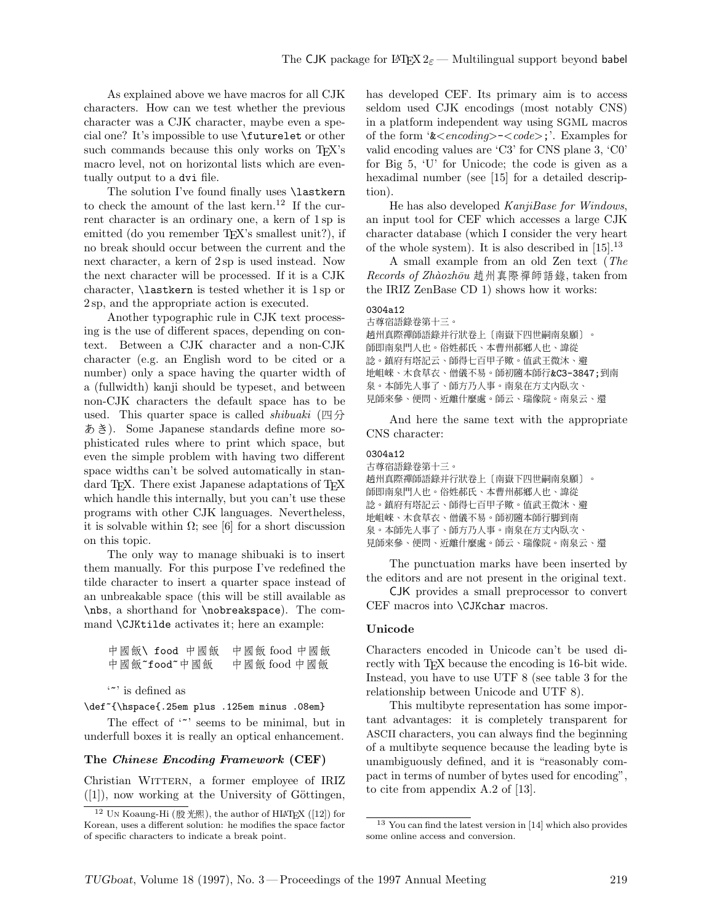As explained above we have macros for all CJK characters. How can we test whether the previous character was a CJK character, maybe even a special one? It's impossible to use \futurelet or other such commands because this only works on T<sub>EX</sub>'s macro level, not on horizontal lists which are eventually output to a dvi file.

The solution I've found finally uses **\lastkern** to check the amount of the last kern.<sup>12</sup> If the current character is an ordinary one, a kern of 1 sp is emitted (do you remember T<sub>EX</sub>'s smallest unit?), if no break should occur between the current and the next character, a kern of 2 sp is used instead. Now the next character will be processed. If it is a CJK character, \lastkern is tested whether it is 1 sp or 2 sp, and the appropriate action is executed.

Another typographic rule in CJK text processing is the use of different spaces, depending on context. Between a CJK character and a non-CJK character (e.g. an English word to be cited or a number) only a space having the quarter width of a (fullwidth) kanji should be typeset, and between non-CJK characters the default space has to be used. This quarter space is called *shibuaki* (四分 あき). Some Japanese standards define more sophisticated rules where to print which space, but even the simple problem with having two different space widths can't be solved automatically in standard TEX. There exist Japanese adaptations of TEX which handle this internally, but you can't use these programs with other CJK languages. Nevertheless, it is solvable within  $\Omega$ ; see [6] for a short discussion on this topic.

The only way to manage shibuaki is to insert them manually. For this purpose I've redefined the tilde character to insert a quarter space instead of an unbreakable space (this will be still available as \nbs, a shorthand for \nobreakspace). The command \CJKtilde activates it; here an example:

```
中國飯\ food 中國飯 中國飯 food 中國飯
中國飯~food~中國飯 中國飯 food 中國飯
```
'~' is defined as

\def~{\hspace{.25em plus .125em minus .08em}

The effect of '" seems to be minimal, but in underfull boxes it is really an optical enhancement.

#### **The** *Chinese Encoding Framework* **(CEF)**

Christian WITTERN, a former employee of IRIZ  $([1])$ , now working at the University of Göttingen, has developed CEF. Its primary aim is to access seldom used CJK encodings (most notably CNS) in a platform independent way using SGML macros of the form '&*<encoding>*-*<code>*;'. Examples for valid encoding values are 'C3' for CNS plane 3, 'C0' for Big 5, 'U' for Unicode; the code is given as a hexadimal number (see [15] for a detailed description).

He has also developed *KanjiBase for Windows*, an input tool for CEF which accesses a large CJK character database (which I consider the very heart of the whole system). It is also described in  $[15]$ .<sup>13</sup>

A small example from an old Zen text (*The Records of Zh`aozh¯ou* 趙州真際禪師語錄, taken from the IRIZ ZenBase CD 1) shows how it works:

#### 0304a12

```
古尊宿語錄卷第十三。
趙州真際禪師語錄并行狀卷上〔南嶽下四世嗣南泉願〕。
師即南泉門人也。俗姓郝氏、本曹州郝鄉人也、諱從
諗。鎮府有塔記云、師得七百甲子歟。值武王微沐、避
地岨崍、木食草衣、僧儀不易。師初隨本師行&C3-3847;到南
泉。本師先人事、師方乃人事。南泉在方丈內臥次、
見師來參、便問、近離什麼處。師云、瑞像院。南泉云、還
```
And here the same text with the appropriate CNS character:

## 0304a12

```
古尊宿語錄卷第十三。
趙州真際禪師語錄并行狀卷上〔南嶽下四世嗣南泉願〕
師即南泉門人也。俗姓郝氏、本曹州郝鄉人也、諱從
諗。鎮府有塔記云、師得七百甲子歟。值武王微沐、避
地岨崍、木食草衣、僧儀不易。師初隨本師行脚到南
泉。本師先人事、師方乃人事。南泉在方丈内臥次、
見師來參、便問、近離什麼處。師云、瑞像院。南泉云、還
```
The punctuation marks have been inserted by the editors and are not present in the original text.

CJK provides a small preprocessor to convert CEF macros into \CJKchar macros.

#### **Unicode**

Characters encoded in Unicode can't be used directly with T<sub>EX</sub> because the encoding is 16-bit wide. Instead, you have to use UTF 8 (see table 3 for the relationship between Unicode and UTF 8).

This multibyte representation has some important advantages: it is completely transparent for ASCII characters, you can always find the beginning of a multibyte sequence because the leading byte is unambiguously defined, and it is "reasonably compact in terms of number of bytes used for encoding", to cite from appendix A.2 of [13].

 $12$  UN Koaung-Hi (殷光熙), the author of HIATEX ([12]) for Korean, uses a different solution: he modifies the space factor of specific characters to indicate a break point.

<sup>13</sup> You can find the latest version in [14] which also provides some online access and conversion.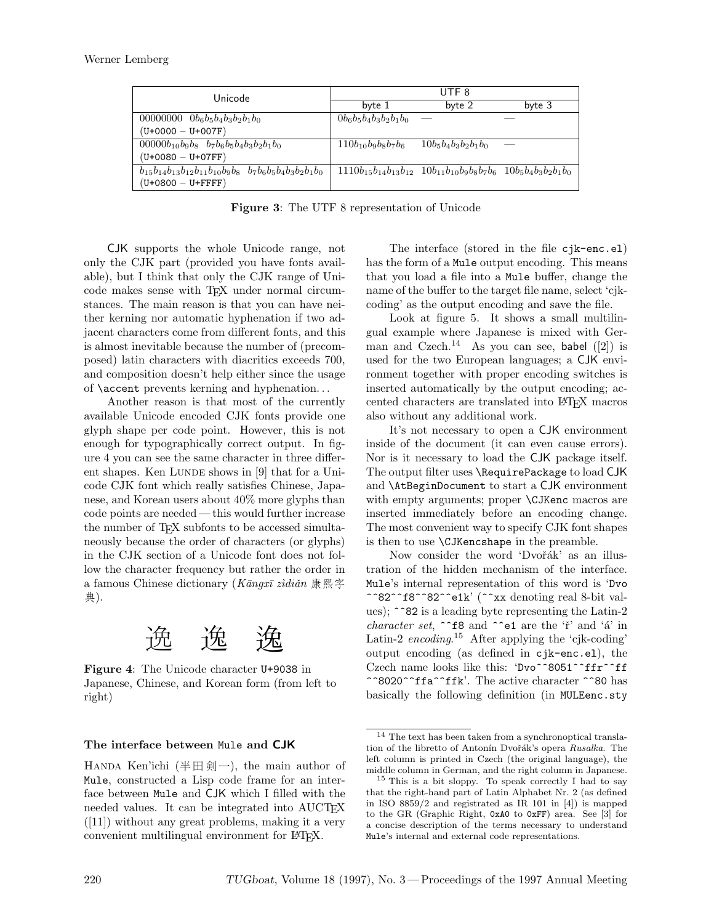| Unicode                                                                 | UTF <sub>8</sub>         |                                                                                    |        |
|-------------------------------------------------------------------------|--------------------------|------------------------------------------------------------------------------------|--------|
|                                                                         | byte 1                   | byte 2                                                                             | byte 3 |
| 00000000 $0b_6b_5b_4b_3b_2b_1b_0$                                       | $0b_6b_5b_4b_3b_2b_1b_0$ |                                                                                    |        |
| $(U+0000 - U+007F)$                                                     |                          |                                                                                    |        |
| $00000b_{10}b_9b_8$ $b_7b_6b_5b_4b_3b_2b_1b_0$                          | $110b_{10}b_9b_8b_7b_6$  | $10b_5b_4b_3b_2b_1b_0$                                                             |        |
| $(U+0080 - U+07FF)$                                                     |                          |                                                                                    |        |
| $b_{15}b_{14}b_{13}b_{12}b_{11}b_{10}b_9b_8$ $b_7b_6b_5b_4b_3b_2b_1b_0$ |                          | $1110b_{15}b_{14}b_{13}b_{12}$ $10b_{11}b_{10}b_9b_8b_7b_6$ $10b_5b_4b_3b_2b_1b_0$ |        |
| $(U+0800 - U+FFFF)$                                                     |                          |                                                                                    |        |

**Figure 3**: The UTF 8 representation of Unicode

CJK supports the whole Unicode range, not only the CJK part (provided you have fonts available), but I think that only the CJK range of Unicode makes sense with TEX under normal circumstances. The main reason is that you can have neither kerning nor automatic hyphenation if two adjacent characters come from different fonts, and this is almost inevitable because the number of (precomposed) latin characters with diacritics exceeds 700, and composition doesn't help either since the usage of \accent prevents kerning and hyphenation. . .

Another reason is that most of the currently available Unicode encoded CJK fonts provide one glyph shape per code point. However, this is not enough for typographically correct output. In figure 4 you can see the same character in three different shapes. Ken LUNDE shows in  $[9]$  that for a Unicode CJK font which really satisfies Chinese, Japanese, and Korean users about 40% more glyphs than code points are needed— this would further increase the number of TFX subfonts to be accessed simultaneously because the order of characters (or glyphs) in the CJK section of a Unicode font does not follow the character frequency but rather the order in a famous Chinese dictionary (*Kāngxī zìdiǎn* 康熙字 典).



**Figure 4**: The Unicode character U+9038 in Japanese, Chinese, and Korean form (from left to right)

#### **The interface between** Mule **and CJK**

HANDA Ken'ichi (半田剣一), the main author of Mule, constructed a Lisp code frame for an interface between Mule and CJK which I filled with the needed values. It can be integrated into AUCTEX  $([11])$  without any great problems, making it a very convenient multilingual environment for LATEX.

The interface (stored in the file cjk-enc.el) has the form of a Mule output encoding. This means that you load a file into a Mule buffer, change the name of the buffer to the target file name, select 'cjkcoding' as the output encoding and save the file.

Look at figure 5. It shows a small multilingual example where Japanese is mixed with German and Czech.<sup>14</sup> As you can see, babel  $([2])$  is used for the two European languages; a CJK environment together with proper encoding switches is inserted automatically by the output encoding; accented characters are translated into LATEX macros also without any additional work.

It's not necessary to open a CJK environment inside of the document (it can even cause errors). Nor is it necessary to load the CJK package itself. The output filter uses \RequirePackage to load CJK and \AtBeginDocument to start a CJK environment with empty arguments; proper \CJKenc macros are inserted immediately before an encoding change. The most convenient way to specify CJK font shapes is then to use \CJKencshape in the preamble.

Now consider the word 'Dvořák' as an illustration of the hidden mechanism of the interface. Mule's internal representation of this word is 'Dvo ^^82^^f8^^82^^e1k' (^^xx denoting real 8-bit values); ^^82 is a leading byte representing the Latin-2 *character set*,  $\hat{\ }$ f8 and  $\hat{\ }$ e1 are the 'ř' and 'á' in Latin-2 *encoding*.<sup>15</sup> After applying the 'cjk-coding' output encoding (as defined in cjk-enc.el), the Czech name looks like this: 'Dvo^^8051^^ffr^^ff ^^8020^^ffa^^ffk'. The active character ^^80 has basically the following definition (in MULEenc.sty

 $^{14}$  The text has been taken from a synchronoptical translation of the libretto of Antonín Dvořák's opera *Rusalka*. The left column is printed in Czech (the original language), the middle column in German, and the right column in Japanese.

 $15$  This is a bit sloppy. To speak correctly I had to say that the right-hand part of Latin Alphabet Nr. 2 (as defined in ISO 8859/2 and registrated as IR 101 in [4]) is mapped to the GR (Graphic Right, 0xA0 to 0xFF) area. See [3] for a concise description of the terms necessary to understand Mule's internal and external code representations.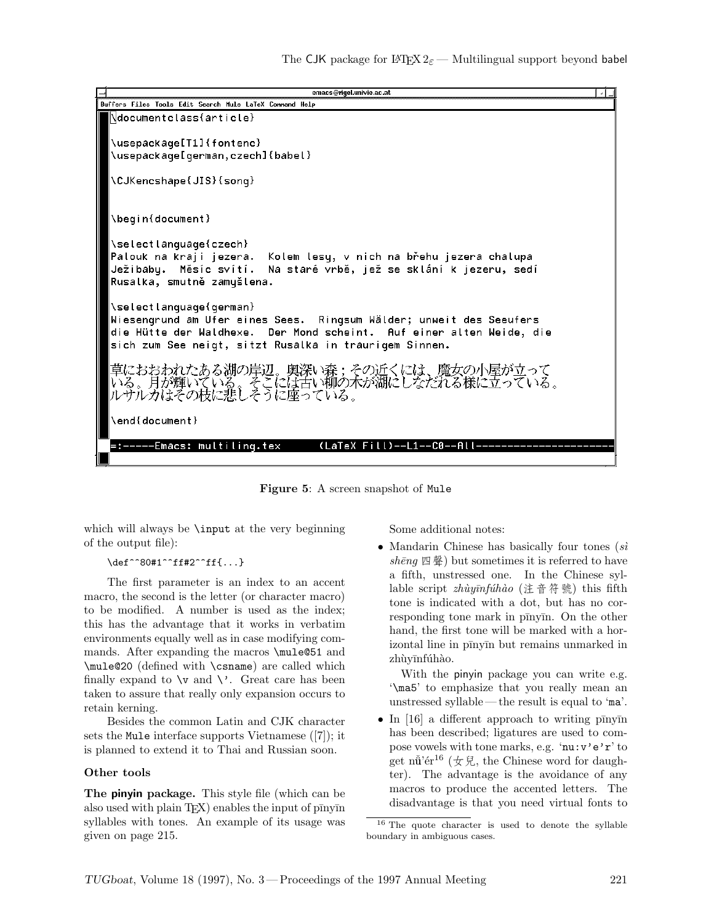

**Figure 5**: A screen snapshot of Mule

which will always be **\input** at the very beginning of the output file):

#### \def^^80#1^^ff#2^^ff{...}

The first parameter is an index to an accent macro, the second is the letter (or character macro) to be modified. A number is used as the index; this has the advantage that it works in verbatim environments equally well as in case modifying commands. After expanding the macros **\mule@51** and \mule@20 (defined with \csname) are called which finally expand to  $\forall$  and  $\forall$ . Great care has been taken to assure that really only expansion occurs to retain kerning.

Besides the common Latin and CJK character sets the Mule interface supports Vietnamese ([7]); it is planned to extend it to Thai and Russian soon.

## **Other tools**

**The pinyin package.** This style file (which can be also used with plain  $T_{E}X$ ) enables the input of  $p\bar{p}$ ny $\bar{p}$ n syllables with tones. An example of its usage was given on page 215.

Some additional notes:

*•* Mandarin Chinese has basically four tones (*s`ı*  $sh\bar{e}nq \nsubseteq \mathbb{R}$  but sometimes it is referred to have a fifth, unstressed one. In the Chinese syllable script *zh`uy¯ınf´uh`ao* (注音符號) this fifth tone is indicated with a dot, but has no corresponding tone mark in pīnyīn. On the other hand, the first tone will be marked with a horizontal line in pīnyīn but remains unmarked in zhùyīnfúhào.

With the pinyin package you can write e.g. '\ma5' to emphasize that you really mean an unstressed syllable— the result is equal to 'ma'.

• In [16] a different approach to writing p $\overline{np}$ has been described; ligatures are used to compose vowels with tone marks, e.g. 'nu:v'e'r' to get nutiver <sup>16</sup> ( $\oint \mathcal{H}$ , the Chinese word for daughter). The advantage is the avoidance of any macros to produce the accented letters. The disadvantage is that you need virtual fonts to

<sup>16</sup> The quote character is used to denote the syllable boundary in ambiguous cases.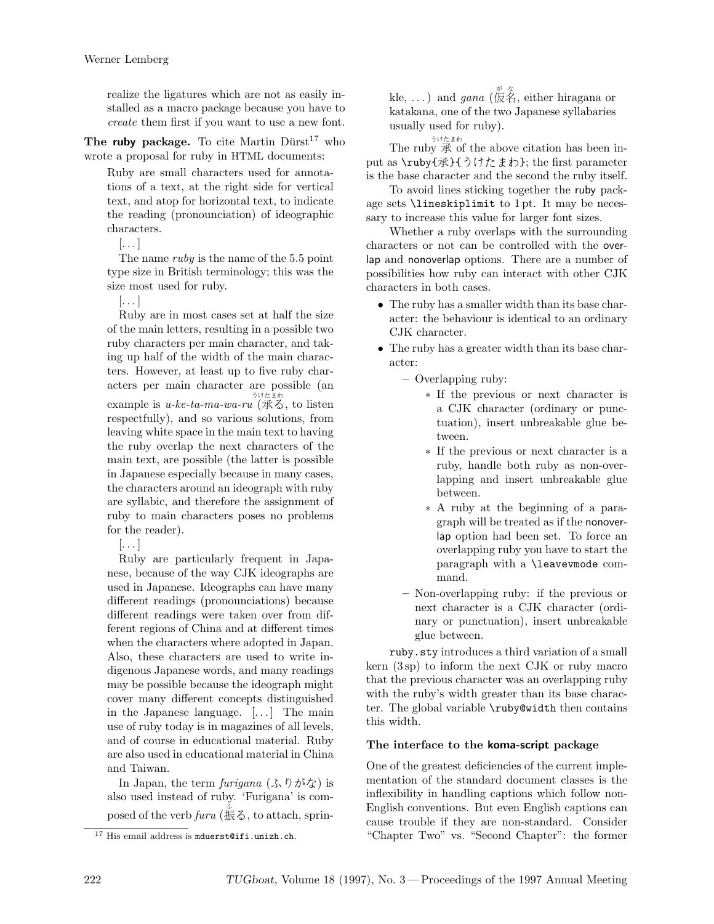realize the ligatures which are not as easily installed as a macro package because you have to *create* them first if you want to use a new font.

The **ruby** package. To cite Martin Dürst<sup>17</sup> who wrote a proposal for ruby in HTML documents:

Ruby are small characters used for annotations of a text, at the right side for vertical text, and atop for horizontal text, to indicate the reading (pronounciation) of ideographic characters.

 $\left[ \ldots \right]$ 

The name *ruby* is the name of the 5.5 point type size in British terminology; this was the size most used for ruby.

 $[ \ldots ]$ 

Ruby are in most cases set at half the size of the main letters, resulting in a possible two ruby characters per main character, and taking up half of the width of the main characters. However, at least up to five ruby characters per main character are possible (an example is *u-ke-ta-ma-wa-ru* (承る, to listen respectfully), and so various solutions, from leaving white space in the main text to having the ruby overlap the next characters of the main text, are possible (the latter is possible in Japanese especially because in many cases, the characters around an ideograph with ruby are syllabic, and therefore the assignment of ruby to main characters poses no problems for the reader).

 $\left[ \ldots \right]$ 

Ruby are particularly frequent in Japanese, because of the way CJK ideographs are used in Japanese. Ideographs can have many different readings (pronounciations) because different readings were taken over from different regions of China and at different times when the characters where adopted in Japan. Also, these characters are used to write indigenous Japanese words, and many readings may be possible because the ideograph might cover many different concepts distinguished in the Japanese language. [. . . ] The main use of ruby today is in magazines of all levels, and of course in educational material. Ruby are also used in educational material in China and Taiwan.

In Japan, the term *furigana* (ふりがな) is also used instead of ruby. 'Furigana' is composed of the verb  $\lim_{k \to \infty} \left( \frac{k}{k} \right)$ , to attach, sprin-

kle, ...) and *gana* ( $\overline{\mathcal{R}}$   $\stackrel{\pi}{\mathcal{R}}$ , either hiragana or katakana, one of the two Japanese syllabaries usually used for ruby).

うけたまわ

The ruby 承 of the above citation has been input as \ruby{承}{うけたまわ}; the first parameter is the base character and the second the ruby itself.

To avoid lines sticking together the ruby package sets \lineskiplimit to 1 pt. It may be necessary to increase this value for larger font sizes.

Whether a ruby overlaps with the surrounding characters or not can be controlled with the overlap and nonoverlap options. There are a number of possibilities how ruby can interact with other CJK characters in both cases.

- *•* The ruby has a smaller width than its base character: the behaviour is identical to an ordinary CJK character.
- *•* The ruby has a greater width than its base character:
	- **–** Overlapping ruby:
		- *∗* If the previous or next character is a CJK character (ordinary or punctuation), insert unbreakable glue between.
		- *∗* If the previous or next character is a ruby, handle both ruby as non-overlapping and insert unbreakable glue between.
		- *∗* A ruby at the beginning of a paragraph will be treated as if the nonoverlap option had been set. To force an overlapping ruby you have to start the paragraph with a \leavevmode command.
	- **–** Non-overlapping ruby: if the previous or next character is a CJK character (ordinary or punctuation), insert unbreakable glue between.

ruby.sty introduces a third variation of a small kern (3 sp) to inform the next CJK or ruby macro that the previous character was an overlapping ruby with the ruby's width greater than its base character. The global variable \ruby@width then contains this width.

## **The interface to the koma-script package**

One of the greatest deficiencies of the current implementation of the standard document classes is the inflexibility in handling captions which follow non-English conventions. But even English captions can cause trouble if they are non-standard. Consider "Chapter Two" vs. "Second Chapter": the former

 $17$  His email address is mduerst@ifi.unizh.ch.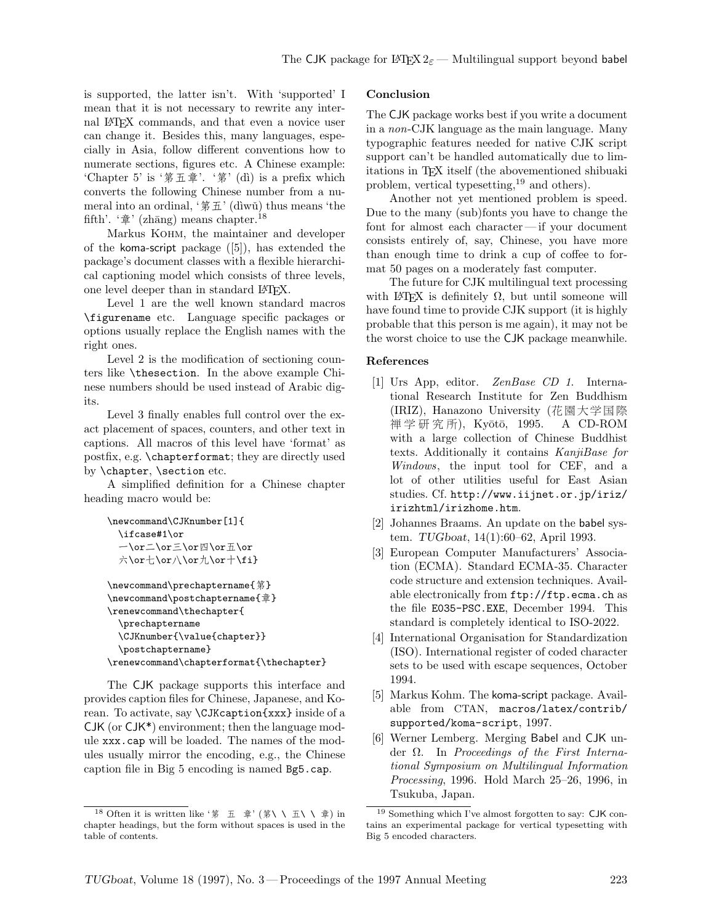is supported, the latter isn't. With 'supported' I mean that it is not necessary to rewrite any internal LATEX commands, and that even a novice user can change it. Besides this, many languages, especially in Asia, follow different conventions how to numerate sections, figures etc. A Chinese example: 'Chapter 5' is '第五章'. '第' (dì) is a prefix which converts the following Chinese number from a numeral into an ordinal, ' $\frac{2}{3}$   $\pm$ ' (diwǔ) thus means 'the fifth'.  $\hat{\phi}$ ' (zhāng) means chapter.<sup>18</sup>

Markus Kohm, the maintainer and developer of the koma-script package ([5]), has extended the package's document classes with a flexible hierarchical captioning model which consists of three levels, one level deeper than in standard LATEX.

Level 1 are the well known standard macros \figurename etc. Language specific packages or options usually replace the English names with the right ones.

Level 2 is the modification of sectioning counters like \thesection. In the above example Chinese numbers should be used instead of Arabic digits.

Level 3 finally enables full control over the exact placement of spaces, counters, and other text in captions. All macros of this level have 'format' as postfix, e.g. \chapterformat; they are directly used by \chapter, \section etc.

A simplified definition for a Chinese chapter heading macro would be:

```
\newcommand\CJKnumber[1]{
 \ifcase#1\or
  一\or二\or三\or四\or五\or
  六\or七\or八\or九\or十\fi}
```

```
\newcommand\prechaptername{第}
\newcommand\postchaptername{章}
\renewcommand\thechapter{
  \prechaptername
  \CJKnumber{\value{chapter}}
  \postchaptername}
\renewcommand\chapterformat{\thechapter}
```
The CJK package supports this interface and provides caption files for Chinese, Japanese, and Korean. To activate, say \CJKcaption{xxx} inside of a CJK (or CJK\*) environment; then the language module xxx.cap will be loaded. The names of the modules usually mirror the encoding, e.g., the Chinese caption file in Big 5 encoding is named Bg5.cap.

## **Conclusion**

The CJK package works best if you write a document in a *non*-CJK language as the main language. Many typographic features needed for native CJK script support can't be handled automatically due to limitations in TEX itself (the abovementioned shibuaki problem, vertical typesetting,<sup>19</sup> and others).

Another not yet mentioned problem is speed. Due to the many (sub)fonts you have to change the font for almost each character— if your document consists entirely of, say, Chinese, you have more than enough time to drink a cup of coffee to format 50 pages on a moderately fast computer.

The future for CJK multilingual text processing with LATEX is definitely  $\Omega$ , but until someone will have found time to provide CJK support (it is highly probable that this person is me again), it may not be the worst choice to use the CJK package meanwhile.

#### **References**

- [1] Urs App, editor. *ZenBase CD 1*. International Research Institute for Zen Buddhism (IRIZ), Hanazono University (花園大学国際 禅 学 研 究 所), Kyōtō, 1995. A CD-ROM with a large collection of Chinese Buddhist texts. Additionally it contains *KanjiBase for Windows*, the input tool for CEF, and a lot of other utilities useful for East Asian studies. Cf. http://www.iijnet.or.jp/iriz/ irizhtml/irizhome.htm.
- [2] Johannes Braams. An update on the babel system. *TUGboat*, 14(1):60–62, April 1993.
- [3] European Computer Manufacturers' Association (ECMA). Standard ECMA-35. Character code structure and extension techniques. Available electronically from ftp://ftp.ecma.ch as the file E035-PSC.EXE, December 1994. This standard is completely identical to ISO-2022.
- [4] International Organisation for Standardization (ISO). International register of coded character sets to be used with escape sequences, October 1994.
- [5] Markus Kohm. The koma-script package. Available from CTAN, macros/latex/contrib/ supported/koma-script, 1997.
- [6] Werner Lemberg. Merging Babel and CJK under Ω. In *Proceedings of the First International Symposium on Multilingual Information Processing*, 1996. Hold March 25–26, 1996, in Tsukuba, Japan.

<sup>&</sup>lt;sup>18</sup> Often it is written like '第 五 章' (第\ \ 五\ \ 章) in chapter headings, but the form without spaces is used in the table of contents.

<sup>19</sup> Something which I've almost forgotten to say: CJK contains an experimental package for vertical typesetting with Big 5 encoded characters.